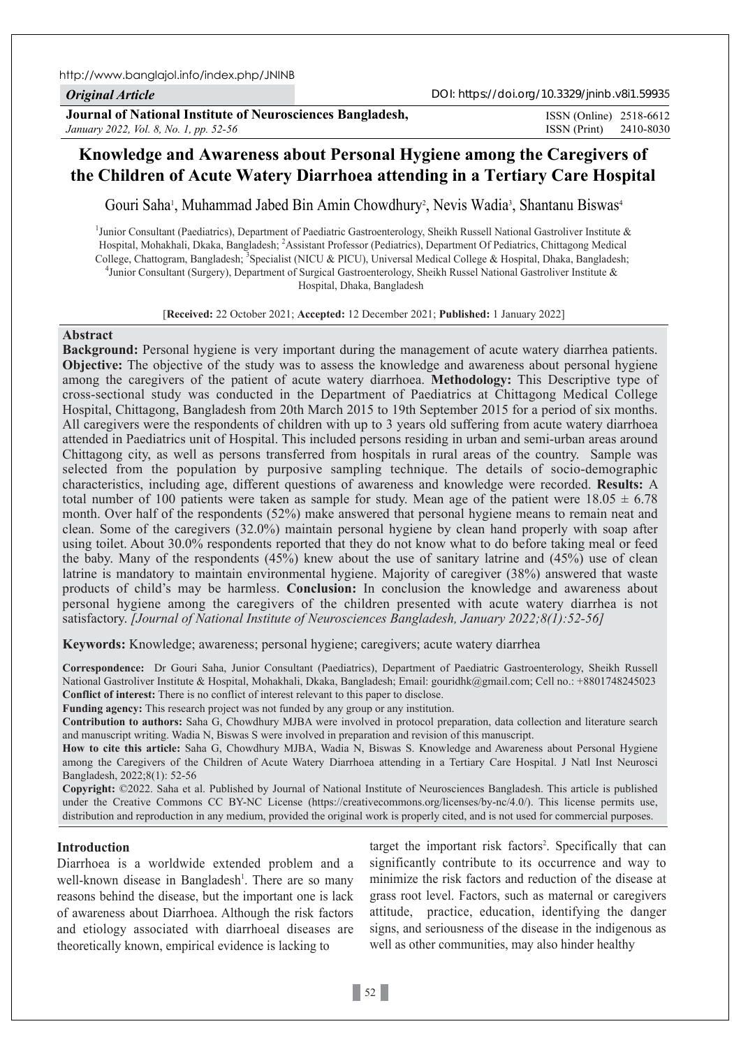http://www.banglajol.info/index.php/JNINB

*Original Article*

**Journal of National Institute of Neurosciences Bangladesh,** *January 2022, Vol. 8, No. 1, pp. 52-56*

ISSN (Print) 2410-8030 ISSN (Online) 2518-6612

# **Knowledge and Awareness about Personal Hygiene among the Caregivers of the Children of Acute Watery Diarrhoea attending in a Tertiary Care Hospital**

Gouri Saha<sup>1</sup>, Muhammad Jabed Bin Amin Chowdhury<sup>2</sup>, Nevis Wadia<sup>3</sup>, Shantanu Biswas<sup>4</sup>

<sup>1</sup>Junior Consultant (Paediatrics), Department of Paediatric Gastroenterology, Sheikh Russell National Gastroliver Institute & Hospital, Mohakhali, Dkaka, Bangladesh; <sup>2</sup>Assistant Professor (Pediatrics), Department Of Pediatrics, Chittagong Medical College, Chattogram, Bangladesh; <sup>3</sup>Specialist (NICU & PICU), Universal Medical College & Hospital, Dhaka, Bangladesh;<br><sup>4</sup> Iunior Consultant (Surson), Danartmant of Sursical Gestroantaralogu: Sheikh Bussel National Gestrol  $^{4}$ Junior Consultant (Surgery), Department of Surgical Gastroenterology, Sheikh Russel National Gastroliver Institute & Hospital, Dhaka, Bangladesh

[**Received:** 22 October 2021; **Accepted:** 12 December 2021; **Published:** 1 January 2022]

#### **Abstract**

**Background:** Personal hygiene is very important during the management of acute watery diarrhea patients. **Objective:** The objective of the study was to assess the knowledge and awareness about personal hygiene among the caregivers of the patient of acute watery diarrhoea. **Methodology:** This Descriptive type of cross-sectional study was conducted in the Department of Paediatrics at Chittagong Medical College Hospital, Chittagong, Bangladesh from 20th March 2015 to 19th September 2015 for a period of six months. All caregivers were the respondents of children with up to 3 years old suffering from acute watery diarrhoea attended in Paediatrics unit of Hospital. This included persons residing in urban and semi-urban areas around Chittagong city, as well as persons transferred from hospitals in rural areas of the country. Sample was selected from the population by purposive sampling technique. The details of socio-demographic characteristics, including age, different questions of awareness and knowledge were recorded. **Results:** A total number of 100 patients were taken as sample for study. Mean age of the patient were  $18.05 \pm 6.78$ month. Over half of the respondents (52%) make answered that personal hygiene means to remain neat and clean. Some of the caregivers (32.0%) maintain personal hygiene by clean hand properly with soap after using toilet. About 30.0% respondents reported that they do not know what to do before taking meal or feed the baby. Many of the respondents (45%) knew about the use of sanitary latrine and (45%) use of clean latrine is mandatory to maintain environmental hygiene. Majority of caregiver (38%) answered that waste products of child's may be harmless. **Conclusion:** In conclusion the knowledge and awareness about personal hygiene among the caregivers of the children presented with acute watery diarrhea is not satisfactory. *[Journal of National Institute of Neurosciences Bangladesh, January 2022;8(1):52-56]*

**Keywords:** Knowledge; awareness; personal hygiene; caregivers; acute watery diarrhea

**Correspondence:** Dr Gouri Saha, Junior Consultant (Paediatrics), Department of Paediatric Gastroenterology, Sheikh Russell National Gastroliver Institute & Hospital, Mohakhali, Dkaka, Bangladesh; Email: gouridhk@gmail.com; Cell no.: +8801748245023 **Conflict of interest:** There is no conflict of interest relevant to this paper to disclose.

**Funding agency:** This research project was not funded by any group or any institution.

**Contribution to authors:** Saha G, Chowdhury MJBA were involved in protocol preparation, data collection and literature search and manuscript writing. Wadia N, Biswas S were involved in preparation and revision of this manuscript.

**How to cite this article:** Saha G, Chowdhury MJBA, Wadia N, Biswas S. Knowledge and Awareness about Personal Hygiene among the Caregivers of the Children of Acute Watery Diarrhoea attending in a Tertiary Care Hospital. J Natl Inst Neurosci Bangladesh, 2022;8(1): 52-56

**Copyright:** ©2022. Saha et al. Published by Journal of National Institute of Neurosciences Bangladesh. This article is published under the Creative Commons CC BY-NC License (https://creativecommons.org/licenses/by-nc/4.0/). This license permits use, distribution and reproduction in any medium, provided the original work is properly cited, and is not used for commercial purposes.

### **Introduction**

Diarrhoea is a worldwide extended problem and a well-known disease in Bangladesh<sup>1</sup>. There are so many reasons behind the disease, but the important one is lack of awareness about Diarrhoea. Although the risk factors and etiology associated with diarrhoeal diseases are theoretically known, empirical evidence is lacking to

target the important risk factors<sup>2</sup>. Specifically that can significantly contribute to its occurrence and way to minimize the risk factors and reduction of the disease at grass root level. Factors, such as maternal or caregivers attitude, practice, education, identifying the danger signs, and seriousness of the disease in the indigenous as well as other communities, may also hinder healthy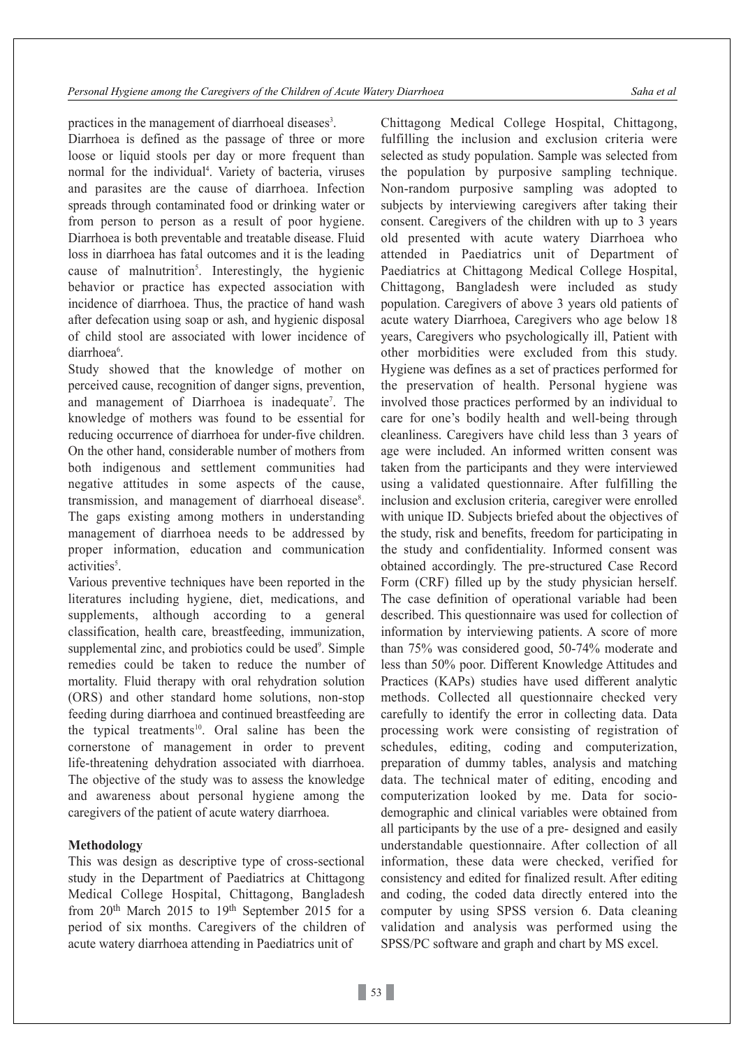practices in the management of diarrhoeal diseases<sup>3</sup>.

Diarrhoea is defined as the passage of three or more loose or liquid stools per day or more frequent than normal for the individual<sup>4</sup>. Variety of bacteria, viruses and parasites are the cause of diarrhoea. Infection spreads through contaminated food or drinking water or from person to person as a result of poor hygiene. Diarrhoea is both preventable and treatable disease. Fluid loss in diarrhoea has fatal outcomes and it is the leading cause of malnutrition<sup>5</sup>. Interestingly, the hygienic behavior or practice has expected association with incidence of diarrhoea. Thus, the practice of hand wash after defecation using soap or ash, and hygienic disposal of child stool are associated with lower incidence of diarrhoea<sup>6</sup>.

Study showed that the knowledge of mother on perceived cause, recognition of danger signs, prevention, and management of Diarrhoea is inadequate<sup>7</sup>. The knowledge of mothers was found to be essential for reducing occurrence of diarrhoea for under-five children. On the other hand, considerable number of mothers from both indigenous and settlement communities had negative attitudes in some aspects of the cause, transmission, and management of diarrhoeal disease<sup>8</sup>. The gaps existing among mothers in understanding management of diarrhoea needs to be addressed by proper information, education and communication activities<sup>5</sup>.

Various preventive techniques have been reported in the literatures including hygiene, diet, medications, and supplements, although according to a general classification, health care, breastfeeding, immunization, supplemental zinc, and probiotics could be used<sup>9</sup>. Simple remedies could be taken to reduce the number of mortality. Fluid therapy with oral rehydration solution (ORS) and other standard home solutions, non-stop feeding during diarrhoea and continued breastfeeding are the typical treatments<sup>10</sup>. Oral saline has been the cornerstone of management in order to prevent life-threatening dehydration associated with diarrhoea. The objective of the study was to assess the knowledge and awareness about personal hygiene among the caregivers of the patient of acute watery diarrhoea.

## **Methodology**

This was design as descriptive type of cross-sectional study in the Department of Paediatrics at Chittagong Medical College Hospital, Chittagong, Bangladesh from  $20<sup>th</sup>$  March  $2015$  to  $19<sup>th</sup>$  September 2015 for a period of six months. Caregivers of the children of acute watery diarrhoea attending in Paediatrics unit of

Chittagong Medical College Hospital, Chittagong, fulfilling the inclusion and exclusion criteria were selected as study population. Sample was selected from the population by purposive sampling technique. Non-random purposive sampling was adopted to subjects by interviewing caregivers after taking their consent. Caregivers of the children with up to 3 years old presented with acute watery Diarrhoea who attended in Paediatrics unit of Department of Paediatrics at Chittagong Medical College Hospital, Chittagong, Bangladesh were included as study population. Caregivers of above 3 years old patients of acute watery Diarrhoea, Caregivers who age below 18 years, Caregivers who psychologically ill, Patient with other morbidities were excluded from this study. Hygiene was defines as a set of practices performed for the preservation of health. Personal hygiene was involved those practices performed by an individual to care for one's bodily health and well-being through cleanliness. Caregivers have child less than 3 years of age were included. An informed written consent was taken from the participants and they were interviewed using a validated questionnaire. After fulfilling the inclusion and exclusion criteria, caregiver were enrolled with unique ID. Subjects briefed about the objectives of the study, risk and benefits, freedom for participating in the study and confidentiality. Informed consent was obtained accordingly. The pre-structured Case Record Form (CRF) filled up by the study physician herself. The case definition of operational variable had been described. This questionnaire was used for collection of information by interviewing patients. A score of more than 75% was considered good, 50-74% moderate and less than 50% poor. Different Knowledge Attitudes and Practices (KAPs) studies have used different analytic methods. Collected all questionnaire checked very carefully to identify the error in collecting data. Data processing work were consisting of registration of schedules, editing, coding and computerization, preparation of dummy tables, analysis and matching data. The technical mater of editing, encoding and computerization looked by me. Data for sociodemographic and clinical variables were obtained from all participants by the use of a pre- designed and easily understandable questionnaire. After collection of all information, these data were checked, verified for consistency and edited for finalized result. After editing and coding, the coded data directly entered into the computer by using SPSS version 6. Data cleaning validation and analysis was performed using the SPSS/PC software and graph and chart by MS excel.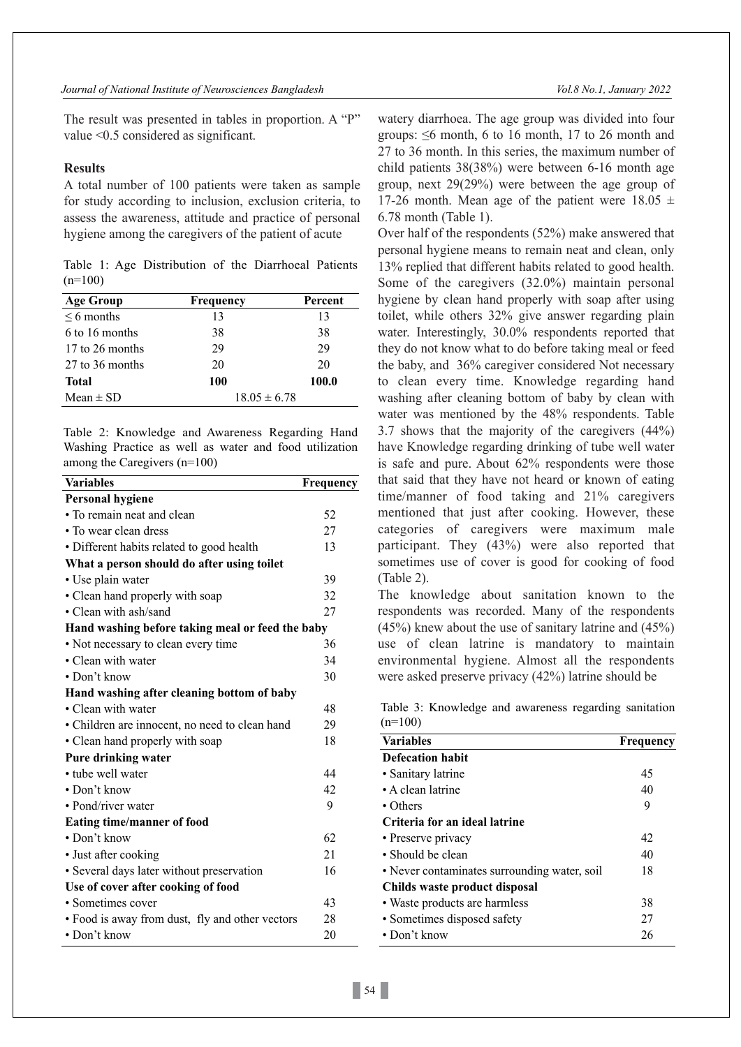The result was presented in tables in proportion. A "P" value <0.5 considered as significant.

#### **Results**

A total number of 100 patients were taken as sample for study according to inclusion, exclusion criteria, to assess the awareness, attitude and practice of personal hygiene among the caregivers of the patient of acute

Table 1: Age Distribution of the Diarrhoeal Patients  $(n=100)$ 

| <b>Age Group</b> | Frequency        | Percent |
|------------------|------------------|---------|
| $\leq 6$ months  | 13               | 13      |
| 6 to 16 months   | 38               | 38      |
| 17 to 26 months  | 29               | 29      |
| 27 to 36 months  | 20               | 20      |
| <b>Total</b>     | 100              | 100.0   |
| Mean $\pm$ SD    | $18.05 \pm 6.78$ |         |

Table 2: Knowledge and Awareness Regarding Hand Washing Practice as well as water and food utilization among the Caregivers (n=100)

| <b>Variables</b>                                 | Frequency |
|--------------------------------------------------|-----------|
| <b>Personal hygiene</b>                          |           |
| • To remain neat and clean                       | 52        |
| • To wear clean dress                            | 27        |
| • Different habits related to good health        | 13        |
| What a person should do after using toilet       |           |
| • Use plain water                                | 39        |
| • Clean hand properly with soap                  | 32        |
| • Clean with ash/sand                            | 27        |
| Hand washing before taking meal or feed the baby |           |
| • Not necessary to clean every time              | 36        |
| • Clean with water                               | 34        |
| • Don't know                                     | 30        |
| Hand washing after cleaning bottom of baby       |           |
| • Clean with water                               | 48        |
| • Children are innocent, no need to clean hand   | 29        |
| • Clean hand properly with soap                  | 18        |
| Pure drinking water                              |           |
| • tube well water                                | 44        |
| $\cdot$ Don't know                               | 42        |
| • Pond/river water                               | 9         |
| <b>Eating time/manner of food</b>                |           |
| • Don't know                                     | 62        |
| • Just after cooking                             | 21        |
| • Several days later without preservation        | 16        |
| Use of cover after cooking of food               |           |
| • Sometimes cover                                | 43        |
| • Food is away from dust, fly and other vectors  | 28        |
| • Don't know                                     | 20        |

watery diarrhoea. The age group was divided into four groups:  $\leq 6$  month, 6 to 16 month, 17 to 26 month and 27 to 36 month. In this series, the maximum number of child patients 38(38%) were between 6-16 month age group, next 29(29%) were between the age group of 17-26 month. Mean age of the patient were  $18.05 \pm 1$ 6.78 month (Table 1).

Over half of the respondents (52%) make answered that personal hygiene means to remain neat and clean, only 13% replied that different habits related to good health. Some of the caregivers (32.0%) maintain personal hygiene by clean hand properly with soap after using toilet, while others 32% give answer regarding plain water. Interestingly, 30.0% respondents reported that they do not know what to do before taking meal or feed the baby, and 36% caregiver considered Not necessary to clean every time. Knowledge regarding hand washing after cleaning bottom of baby by clean with water was mentioned by the 48% respondents. Table 3.7 shows that the majority of the caregivers (44%) have Knowledge regarding drinking of tube well water is safe and pure. About 62% respondents were those that said that they have not heard or known of eating time/manner of food taking and 21% caregivers mentioned that just after cooking. However, these categories of caregivers were maximum male participant. They (43%) were also reported that sometimes use of cover is good for cooking of food (Table 2).

The knowledge about sanitation known to the respondents was recorded. Many of the respondents (45%) knew about the use of sanitary latrine and (45%) use of clean latrine is mandatory to maintain environmental hygiene. Almost all the respondents were asked preserve privacy (42%) latrine should be

Table 3: Knowledge and awareness regarding sanitation  $(n=100)$ 

| <b>Variables</b>                             | Frequency |
|----------------------------------------------|-----------|
| Defecation habit                             |           |
| • Sanitary latrine                           | 45        |
| • A clean latrine                            | 40        |
| • Others                                     | 9         |
| Criteria for an ideal latrine                |           |
| • Preserve privacy                           | 42        |
| • Should be clean                            | 40        |
| • Never contaminates surrounding water, soil | 18        |
| Childs waste product disposal                |           |
| • Waste products are harmless                | 38        |
| • Sometimes disposed safety                  | 27        |
| $\bullet$ Don't know                         | 26        |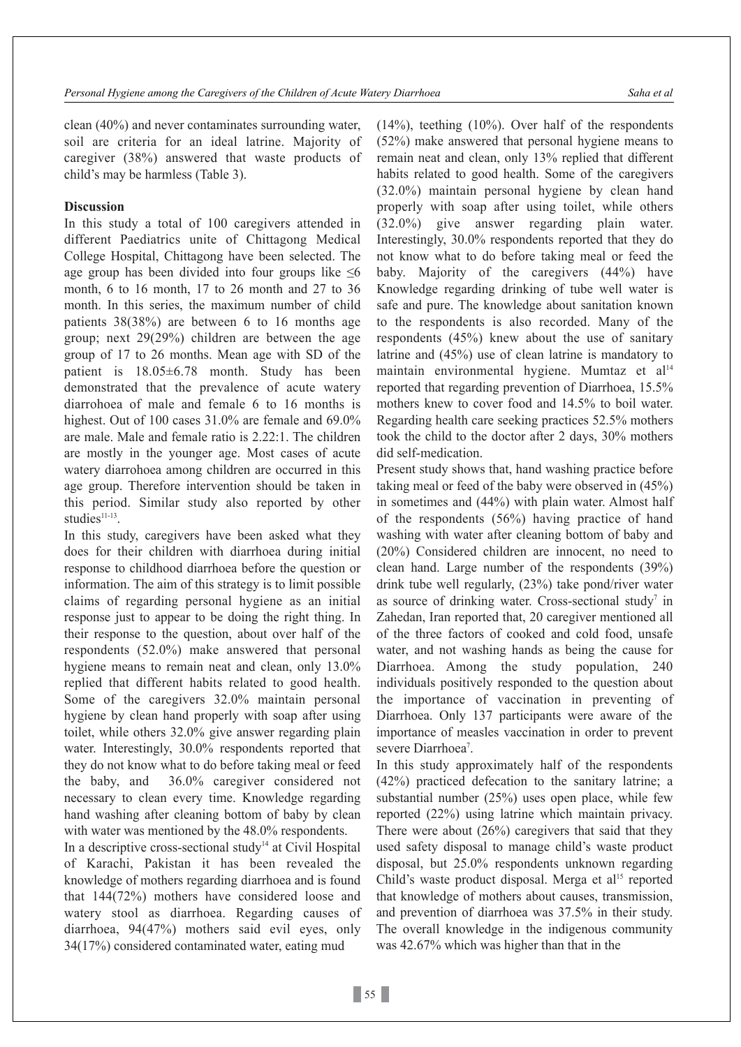clean (40%) and never contaminates surrounding water, soil are criteria for an ideal latrine. Majority of caregiver (38%) answered that waste products of child's may be harmless (Table 3).

## **Discussion**

In this study a total of 100 caregivers attended in different Paediatrics unite of Chittagong Medical College Hospital, Chittagong have been selected. The age group has been divided into four groups like  $\leq 6$ month, 6 to 16 month, 17 to 26 month and 27 to 36 month. In this series, the maximum number of child patients 38(38%) are between 6 to 16 months age group; next 29(29%) children are between the age group of 17 to 26 months. Mean age with SD of the patient is 18.05±6.78 month. Study has been demonstrated that the prevalence of acute watery diarrohoea of male and female 6 to 16 months is highest. Out of 100 cases 31.0% are female and 69.0% are male. Male and female ratio is 2.22:1. The children are mostly in the younger age. Most cases of acute watery diarrohoea among children are occurred in this age group. Therefore intervention should be taken in this period. Similar study also reported by other studies<sup>11-13</sup>.

In this study, caregivers have been asked what they does for their children with diarrhoea during initial response to childhood diarrhoea before the question or information. The aim of this strategy is to limit possible claims of regarding personal hygiene as an initial response just to appear to be doing the right thing. In their response to the question, about over half of the respondents (52.0%) make answered that personal hygiene means to remain neat and clean, only 13.0% replied that different habits related to good health. Some of the caregivers 32.0% maintain personal hygiene by clean hand properly with soap after using toilet, while others 32.0% give answer regarding plain water. Interestingly, 30.0% respondents reported that they do not know what to do before taking meal or feed the baby, and 36.0% caregiver considered not necessary to clean every time. Knowledge regarding hand washing after cleaning bottom of baby by clean with water was mentioned by the 48.0% respondents.

In a descriptive cross-sectional study<sup>14</sup> at Civil Hospital of Karachi, Pakistan it has been revealed the knowledge of mothers regarding diarrhoea and is found that 144(72%) mothers have considered loose and watery stool as diarrhoea. Regarding causes of diarrhoea, 94(47%) mothers said evil eyes, only 34(17%) considered contaminated water, eating mud

(14%), teething (10%). Over half of the respondents (52%) make answered that personal hygiene means to remain neat and clean, only 13% replied that different habits related to good health. Some of the caregivers (32.0%) maintain personal hygiene by clean hand properly with soap after using toilet, while others (32.0%) give answer regarding plain water. Interestingly, 30.0% respondents reported that they do not know what to do before taking meal or feed the baby. Majority of the caregivers (44%) have Knowledge regarding drinking of tube well water is safe and pure. The knowledge about sanitation known to the respondents is also recorded. Many of the respondents (45%) knew about the use of sanitary latrine and (45%) use of clean latrine is mandatory to maintain environmental hygiene. Mumtaz et al<sup>14</sup> reported that regarding prevention of Diarrhoea, 15.5% mothers knew to cover food and 14.5% to boil water. Regarding health care seeking practices 52.5% mothers took the child to the doctor after 2 days, 30% mothers did self-medication.

Present study shows that, hand washing practice before taking meal or feed of the baby were observed in (45%) in sometimes and (44%) with plain water. Almost half of the respondents (56%) having practice of hand washing with water after cleaning bottom of baby and (20%) Considered children are innocent, no need to clean hand. Large number of the respondents (39%) drink tube well regularly, (23%) take pond/river water as source of drinking water. Cross-sectional study<sup>7</sup> in Zahedan, Iran reported that, 20 caregiver mentioned all of the three factors of cooked and cold food, unsafe water, and not washing hands as being the cause for Diarrhoea. Among the study population, 240 individuals positively responded to the question about the importance of vaccination in preventing of Diarrhoea. Only 137 participants were aware of the importance of measles vaccination in order to prevent severe Diarrhoea<sup>7</sup>.

In this study approximately half of the respondents (42%) practiced defecation to the sanitary latrine; a substantial number (25%) uses open place, while few reported (22%) using latrine which maintain privacy. There were about (26%) caregivers that said that they used safety disposal to manage child's waste product disposal, but 25.0% respondents unknown regarding Child's waste product disposal. Merga et al<sup>15</sup> reported that knowledge of mothers about causes, transmission, and prevention of diarrhoea was 37.5% in their study. The overall knowledge in the indigenous community was 42.67% which was higher than that in the